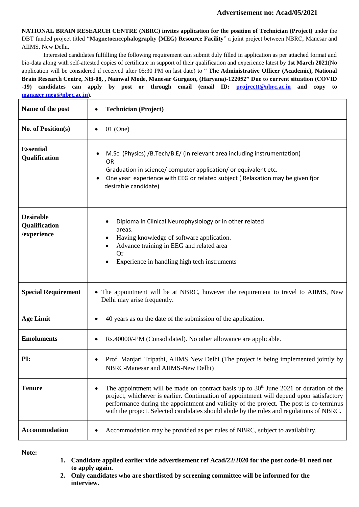## **Advertisement no: Acad/05/2021**

**NATIONAL BRAIN RESEARCH CENTRE (NBRC) invites application for the position of Technician (Project)** under the DBT funded project titled "**Magnetoencephalography (MEG) Resource Facility**" a joint project between NBRC, Manesar and AIIMS, New Delhi.

Interested candidates fulfilling the following requirement can submit duly filled in application as per attached format and bio-data along with self-attested copies of certificate in support of their qualification and experience latest by **1st March 2021**(No application will be considered if received after 05:30 PM on last date) to " **The Administrative Officer (Academic), National Brain Research Centre, NH-08, , Nainwal Mode, Manesar Gurgaon, (Haryana)-122052" Due to current situation (COVID -19) candidates can apply by post or through email (email ID: [projrectt@nbrc.ac.in](mailto:projrectt@nbrc.ac.in) and copy to [manager.meg@nbrc.ac.in\)](mailto:manager.meg@nbrc.ac.in).**

| Name of the post                                 | <b>Technician (Project)</b>                                                                                                                                                                                                                                                                                                                                                 |  |  |  |  |  |
|--------------------------------------------------|-----------------------------------------------------------------------------------------------------------------------------------------------------------------------------------------------------------------------------------------------------------------------------------------------------------------------------------------------------------------------------|--|--|--|--|--|
| No. of Position(s)                               | $01$ (One)                                                                                                                                                                                                                                                                                                                                                                  |  |  |  |  |  |
| <b>Essential</b><br>Qualification                | M.Sc. (Physics) /B.Tech/B.E/ (in relevant area including instrumentation)<br><b>OR</b><br>Graduation in science/ computer application/ or equivalent etc.<br>One year experience with EEG or related subject (Relaxation may be given fjor<br>desirable candidate)                                                                                                          |  |  |  |  |  |
| <b>Desirable</b><br>Qualification<br>/experience | Diploma in Clinical Neurophysiology or in other related<br>areas.<br>Having knowledge of software application.<br>Advance training in EEG and related area<br><b>Or</b><br>Experience in handling high tech instruments                                                                                                                                                     |  |  |  |  |  |
| <b>Special Requirement</b>                       | The appointment will be at NBRC, however the requirement to travel to AIIMS, New<br>Delhi may arise frequently.                                                                                                                                                                                                                                                             |  |  |  |  |  |
| <b>Age Limit</b>                                 | 40 years as on the date of the submission of the application.                                                                                                                                                                                                                                                                                                               |  |  |  |  |  |
| <b>Emoluments</b>                                | Rs.40000/-PM (Consolidated). No other allowance are applicable.                                                                                                                                                                                                                                                                                                             |  |  |  |  |  |
| PI:                                              | Prof. Manjari Tripathi, AIIMS New Delhi (The project is being implemented jointly by<br>NBRC-Manesar and AIIMS-New Delhi)                                                                                                                                                                                                                                                   |  |  |  |  |  |
| <b>Tenure</b>                                    | The appointment will be made on contract basis up to $30th$ June 2021 or duration of the<br>project, whichever is earlier. Continuation of appointment will depend upon satisfactory<br>performance during the appointment and validity of the project. The post is co-terminus<br>with the project. Selected candidates should abide by the rules and regulations of NBRC. |  |  |  |  |  |
| Accommodation                                    | Accommodation may be provided as per rules of NBRC, subject to availability.                                                                                                                                                                                                                                                                                                |  |  |  |  |  |

**Note:**

- **1. Candidate applied earlier vide advertisement ref Acad/22/2020 for the post code-01 need not to apply again.**
- **2. Only candidates who are shortlisted by screening committee will be informed for the interview.**